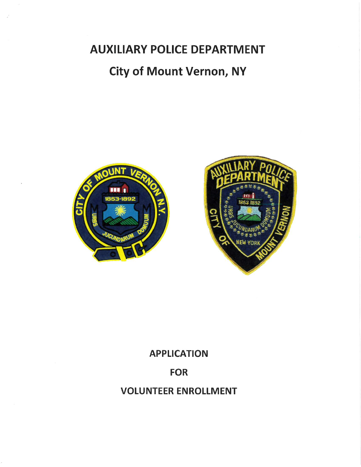AUXILIARY POLICE DEPARTMENT City of Mount Vernon, NY





## APPLICATION

## FOR

# VOLUNTEER ENROLLMENT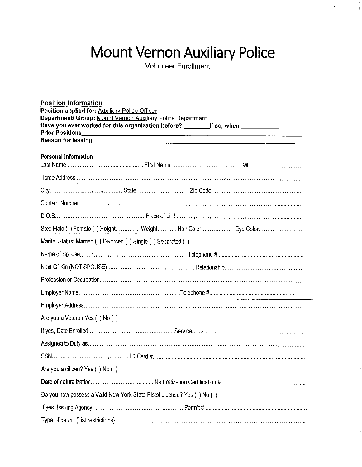# Mount Vernon Auxiliary Police

Volunteer Enrollm

| <b>Position Information</b>                                                                                   |  |  |  |  |
|---------------------------------------------------------------------------------------------------------------|--|--|--|--|
| Position applied for: Auxiliary Police Officer<br>Department/ Group: Mount Vernon Auxiliary Police Department |  |  |  |  |
|                                                                                                               |  |  |  |  |
|                                                                                                               |  |  |  |  |
|                                                                                                               |  |  |  |  |
| Personal Information                                                                                          |  |  |  |  |
|                                                                                                               |  |  |  |  |
|                                                                                                               |  |  |  |  |
|                                                                                                               |  |  |  |  |
|                                                                                                               |  |  |  |  |
|                                                                                                               |  |  |  |  |
| Marital Status: Married () Divorced () Single () Separated ()                                                 |  |  |  |  |
|                                                                                                               |  |  |  |  |
|                                                                                                               |  |  |  |  |
|                                                                                                               |  |  |  |  |
|                                                                                                               |  |  |  |  |
|                                                                                                               |  |  |  |  |
| Are you a Veteran Yes () No ()                                                                                |  |  |  |  |
|                                                                                                               |  |  |  |  |
|                                                                                                               |  |  |  |  |
|                                                                                                               |  |  |  |  |
| Are you a citizen? Yes () No ()                                                                               |  |  |  |  |
|                                                                                                               |  |  |  |  |
| Do you now possess a Valid New York State Pistol License? Yes () No ()                                        |  |  |  |  |
|                                                                                                               |  |  |  |  |
|                                                                                                               |  |  |  |  |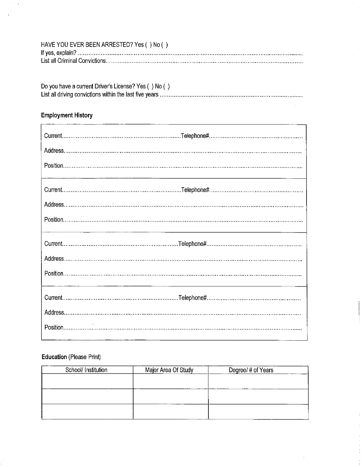| HAVE YOU EVER BEEN ARRESTED? Yes () No () |
|-------------------------------------------|
|                                           |
|                                           |

| Do you have a current Driver's License? Yes () No () |
|------------------------------------------------------|
|                                                      |

 $\bar{z}$ 

 $\frac{1}{2}$ 

Ì.

 $\bar{\mathcal{A}}$ 

## **Employment History**

 $\mathcal{I}_{\mathcal{A}}$ 

 $\frac{1}{2}$ 

## Education (Please Print)

| School/ Institution | Major Area Of Study | Degree/# of Years |
|---------------------|---------------------|-------------------|
|                     |                     |                   |
|                     |                     |                   |
|                     |                     |                   |
|                     |                     |                   |
|                     |                     |                   |
|                     |                     |                   |